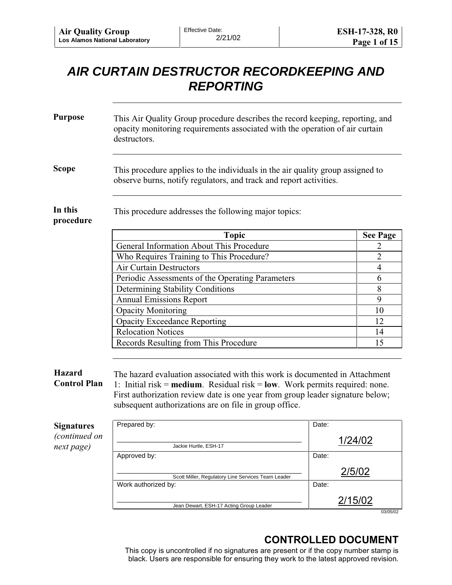## *AIR CURTAIN DESTRUCTOR RECORDKEEPING AND REPORTING*

| <b>Purpose</b>                       | This Air Quality Group procedure describes the record keeping, reporting, and<br>opacity monitoring requirements associated with the operation of air curtain<br>destructors.                                                                                                                            |                |                 |  |
|--------------------------------------|----------------------------------------------------------------------------------------------------------------------------------------------------------------------------------------------------------------------------------------------------------------------------------------------------------|----------------|-----------------|--|
| <b>Scope</b>                         | This procedure applies to the individuals in the air quality group assigned to<br>observe burns, notify regulators, and track and report activities.                                                                                                                                                     |                |                 |  |
| In this<br>procedure                 | This procedure addresses the following major topics:                                                                                                                                                                                                                                                     |                |                 |  |
|                                      | <b>Topic</b>                                                                                                                                                                                                                                                                                             |                | <b>See Page</b> |  |
|                                      | General Information About This Procedure                                                                                                                                                                                                                                                                 |                | 2               |  |
|                                      | Who Requires Training to This Procedure?                                                                                                                                                                                                                                                                 |                | $\overline{2}$  |  |
|                                      | <b>Air Curtain Destructors</b>                                                                                                                                                                                                                                                                           |                | 4               |  |
|                                      | Periodic Assessments of the Operating Parameters                                                                                                                                                                                                                                                         | 6              |                 |  |
|                                      | Determining Stability Conditions                                                                                                                                                                                                                                                                         | 8              |                 |  |
|                                      | <b>Annual Emissions Report</b>                                                                                                                                                                                                                                                                           |                | 9               |  |
|                                      | <b>Opacity Monitoring</b>                                                                                                                                                                                                                                                                                | 10             |                 |  |
|                                      | <b>Opacity Exceedance Reporting</b>                                                                                                                                                                                                                                                                      | 12             |                 |  |
|                                      | <b>Relocation Notices</b>                                                                                                                                                                                                                                                                                | 14             |                 |  |
|                                      | Records Resulting from This Procedure                                                                                                                                                                                                                                                                    |                | 15              |  |
| <b>Hazard</b><br><b>Control Plan</b> | The hazard evaluation associated with this work is documented in Attachment<br>1: Initial risk = medium. Residual risk = $low.$ Work permits required: none.<br>First authorization review date is one year from group leader signature below;<br>subsequent authorizations are on file in group office. |                |                 |  |
| <b>Signatures</b>                    | Prepared by:                                                                                                                                                                                                                                                                                             | Date:          |                 |  |
| (continued on                        |                                                                                                                                                                                                                                                                                                          | <u>1/24/02</u> |                 |  |
| next page)                           | Jackie Hurtle, ESH-17                                                                                                                                                                                                                                                                                    |                |                 |  |
|                                      | Approved by:                                                                                                                                                                                                                                                                                             | Date:          |                 |  |
|                                      |                                                                                                                                                                                                                                                                                                          | 2/5/02         |                 |  |
|                                      | Scott Miller, Regulatory Line Services Team Leader<br>Work authorized by:                                                                                                                                                                                                                                | Date:          |                 |  |
|                                      |                                                                                                                                                                                                                                                                                                          |                |                 |  |
|                                      | Jean Dewart, ESH-17 Acting Group Leader                                                                                                                                                                                                                                                                  | <u>2/15/02</u> |                 |  |

03/05/02

### **CONTROLLED DOCUMENT**

This copy is uncontrolled if no signatures are present or if the copy number stamp is black. Users are responsible for ensuring they work to the latest approved revision.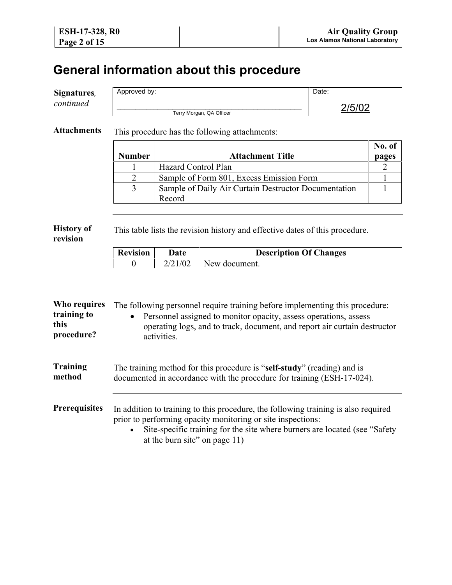# **General information about this procedure**

| Signatures,                                       | Approved by:                                                                                                                                                                                                                                                     |                     |                                                      | Date:  |                |
|---------------------------------------------------|------------------------------------------------------------------------------------------------------------------------------------------------------------------------------------------------------------------------------------------------------------------|---------------------|------------------------------------------------------|--------|----------------|
| continued                                         |                                                                                                                                                                                                                                                                  |                     |                                                      | 2/5/02 |                |
|                                                   | Terry Morgan, QA Officer                                                                                                                                                                                                                                         |                     |                                                      |        |                |
| <b>Attachments</b>                                |                                                                                                                                                                                                                                                                  |                     | This procedure has the following attachments:        |        |                |
|                                                   |                                                                                                                                                                                                                                                                  |                     |                                                      |        | No. of         |
|                                                   | <b>Number</b>                                                                                                                                                                                                                                                    |                     | <b>Attachment Title</b>                              |        | pages          |
|                                                   | 1                                                                                                                                                                                                                                                                | Hazard Control Plan |                                                      |        | $\overline{2}$ |
|                                                   | $\overline{2}$                                                                                                                                                                                                                                                   |                     | Sample of Form 801, Excess Emission Form             |        | $\mathbf{1}$   |
|                                                   | $\overline{3}$                                                                                                                                                                                                                                                   | Record              | Sample of Daily Air Curtain Destructor Documentation |        | 1              |
|                                                   |                                                                                                                                                                                                                                                                  |                     |                                                      |        |                |
| <b>History of</b><br>revision                     | This table lists the revision history and effective dates of this procedure.                                                                                                                                                                                     |                     |                                                      |        |                |
|                                                   | <b>Revision</b>                                                                                                                                                                                                                                                  | <b>Date</b>         | <b>Description Of Changes</b>                        |        |                |
|                                                   | $\theta$                                                                                                                                                                                                                                                         | 2/21/02             | New document.                                        |        |                |
| Who requires<br>training to<br>this<br>procedure? | The following personnel require training before implementing this procedure:<br>Personnel assigned to monitor opacity, assess operations, assess<br>operating logs, and to track, document, and report air curtain destructor<br>activities.                     |                     |                                                      |        |                |
| <b>Training</b><br>method                         | The training method for this procedure is "self-study" (reading) and is<br>documented in accordance with the procedure for training (ESH-17-024).                                                                                                                |                     |                                                      |        |                |
| <b>Prerequisites</b>                              | In addition to training to this procedure, the following training is also required<br>prior to performing opacity monitoring or site inspections:<br>Site-specific training for the site where burners are located (see "Safety<br>at the burn site" on page 11) |                     |                                                      |        |                |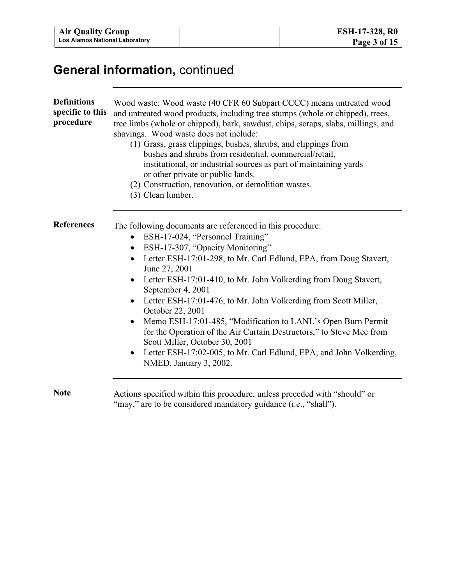# **General information,** continued

| <b>Definitions</b><br>specific to this<br>procedure | Wood waste: Wood waste (40 CFR 60 Subpart CCCC) means untreated wood<br>and untreated wood products, including tree stumps (whole or chipped), trees,<br>tree limbs (whole or chipped), bark, sawdust, chips, scraps, slabs, millings, and<br>shavings. Wood waste does not include:<br>(1) Grass, grass clippings, bushes, shrubs, and clippings from<br>bushes and shrubs from residential, commercial/retail,<br>institutional, or industrial sources as part of maintaining yards<br>or other private or public lands.<br>(2) Construction, renovation, or demolition wastes.<br>(3) Clean lumber.                                                                                                                                             |  |
|-----------------------------------------------------|----------------------------------------------------------------------------------------------------------------------------------------------------------------------------------------------------------------------------------------------------------------------------------------------------------------------------------------------------------------------------------------------------------------------------------------------------------------------------------------------------------------------------------------------------------------------------------------------------------------------------------------------------------------------------------------------------------------------------------------------------|--|
| <b>References</b>                                   | The following documents are referenced in this procedure:<br>ESH-17-024, "Personnel Training"<br>ESH-17-307, "Opacity Monitoring"<br>$\bullet$<br>Letter ESH-17:01-298, to Mr. Carl Edlund, EPA, from Doug Stavert,<br>$\bullet$<br>June 27, 2001<br>Letter ESH-17:01-410, to Mr. John Volkerding from Doug Stavert,<br>$\bullet$<br>September 4, 2001<br>Letter ESH-17:01-476, to Mr. John Volkerding from Scott Miller,<br>$\bullet$<br>October 22, 2001<br>Memo ESH-17:01-485, "Modification to LANL's Open Burn Permit<br>$\bullet$<br>for the Operation of the Air Curtain Destructors," to Steve Mee from<br>Scott Miller, October 30, 2001<br>Letter ESH-17:02-005, to Mr. Carl Edlund, EPA, and John Volkerding,<br>NMED, January 3, 2002. |  |
| <b>Note</b>                                         | Actions specified within this procedure, unless preceded with "should" or<br>"may," are to be considered mandatory guidance (i.e., "shall").                                                                                                                                                                                                                                                                                                                                                                                                                                                                                                                                                                                                       |  |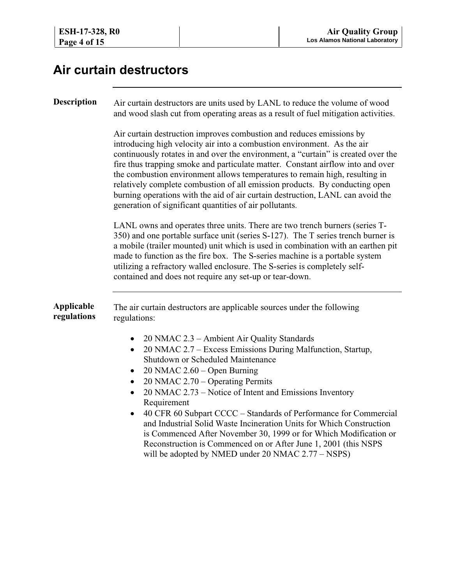### **Air curtain destructors**

### **Description** Air curtain destructors are units used by LANL to reduce the volume of wood and wood slash cut from operating areas as a result of fuel mitigation activities.

Air curtain destruction improves combustion and reduces emissions by introducing high velocity air into a combustion environment. As the air continuously rotates in and over the environment, a "curtain" is created over the fire thus trapping smoke and particulate matter. Constant airflow into and over the combustion environment allows temperatures to remain high, resulting in relatively complete combustion of all emission products. By conducting open burning operations with the aid of air curtain destruction, LANL can avoid the generation of significant quantities of air pollutants.

LANL owns and operates three units. There are two trench burners (series T-350) and one portable surface unit (series S-127). The T series trench burner is a mobile (trailer mounted) unit which is used in combination with an earthen pit made to function as the fire box. The S-series machine is a portable system utilizing a refractory walled enclosure. The S-series is completely selfcontained and does not require any set-up or tear-down.

### **Applicable regulations** The air curtain destructors are applicable sources under the following regulations:

- 20 NMAC 2.3 Ambient Air Quality Standards
- 20 NMAC 2.7 Excess Emissions During Malfunction, Startup, Shutdown or Scheduled Maintenance
- $\bullet$  20 NMAC 2.60 Open Burning
- 20 NMAC  $2.70 -$  Operating Permits
- 20 NMAC 2.73 Notice of Intent and Emissions Inventory Requirement
- 40 CFR 60 Subpart CCCC Standards of Performance for Commercial and Industrial Solid Waste Incineration Units for Which Construction is Commenced After November 30, 1999 or for Which Modification or Reconstruction is Commenced on or After June 1, 2001 (this NSPS will be adopted by NMED under 20 NMAC 2.77 – NSPS)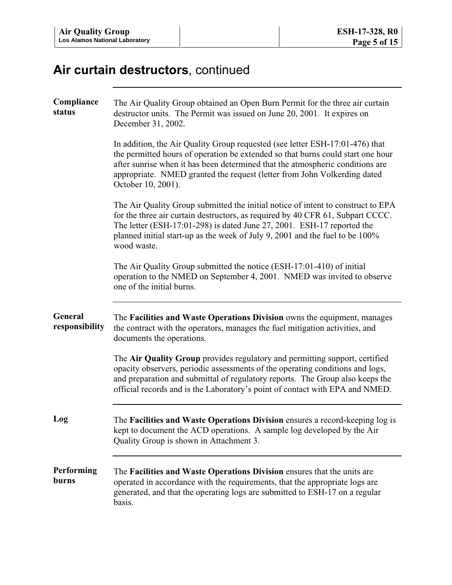|                           | Air curtain destructors, continued                                                                                                                                                                                                                                                                                                                 |
|---------------------------|----------------------------------------------------------------------------------------------------------------------------------------------------------------------------------------------------------------------------------------------------------------------------------------------------------------------------------------------------|
| Compliance<br>status      | The Air Quality Group obtained an Open Burn Permit for the three air curtain<br>destructor units. The Permit was issued on June 20, 2001. It expires on<br>December 31, 2002.                                                                                                                                                                      |
|                           | In addition, the Air Quality Group requested (see letter ESH-17:01-476) that<br>the permitted hours of operation be extended so that burns could start one hour<br>after sunrise when it has been determined that the atmospheric conditions are<br>appropriate. NMED granted the request (letter from John Volkerding dated<br>October 10, 2001). |
|                           | The Air Quality Group submitted the initial notice of intent to construct to EPA<br>for the three air curtain destructors, as required by 40 CFR 61, Subpart CCCC.<br>The letter $(ESH-17:01-298)$ is dated June 27, 2001. ESH-17 reported the<br>planned initial start-up as the week of July 9, 2001 and the fuel to be 100%<br>wood waste.      |
|                           | The Air Quality Group submitted the notice (ESH-17:01-410) of initial<br>operation to the NMED on September 4, 2001. NMED was invited to observe<br>one of the initial burns.                                                                                                                                                                      |
| General<br>responsibility | The Facilities and Waste Operations Division owns the equipment, manages<br>the contract with the operators, manages the fuel mitigation activities, and<br>documents the operations.                                                                                                                                                              |
|                           | The Air Quality Group provides regulatory and permitting support, certified<br>opacity observers, periodic assessments of the operating conditions and logs,<br>and preparation and submittal of regulatory reports. The Group also keeps the<br>official records and is the Laboratory's point of contact with EPA and NMED.                      |
| Log                       | The <b>Facilities and Waste Operations Division</b> ensures a record-keeping log is<br>kept to document the ACD operations. A sample log developed by the Air<br>Quality Group is shown in Attachment 3.                                                                                                                                           |
| Performing<br>burns       | The Facilities and Waste Operations Division ensures that the units are<br>operated in accordance with the requirements, that the appropriate logs are<br>generated, and that the operating logs are submitted to ESH-17 on a regular<br>basis.                                                                                                    |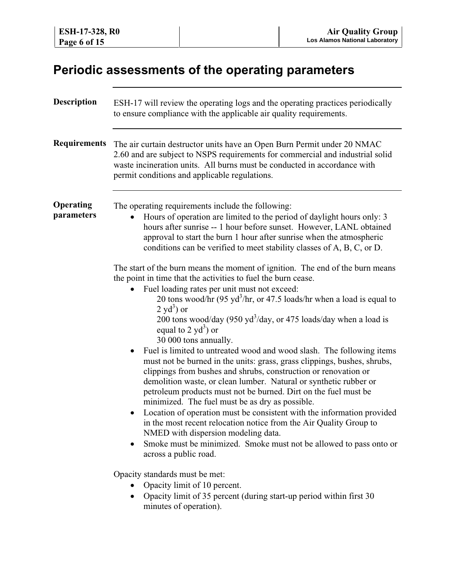# **Periodic assessments of the operating parameters**

| <b>Description</b>      | ESH-17 will review the operating logs and the operating practices periodically<br>to ensure compliance with the applicable air quality requirements.                                                                                                                                                                                                                                                                                                                                                                                                                                                                                                                                                                                                                                                                                                                                                                                                                                                                                                                                                                                                                                                                                                                                                                                            |  |  |
|-------------------------|-------------------------------------------------------------------------------------------------------------------------------------------------------------------------------------------------------------------------------------------------------------------------------------------------------------------------------------------------------------------------------------------------------------------------------------------------------------------------------------------------------------------------------------------------------------------------------------------------------------------------------------------------------------------------------------------------------------------------------------------------------------------------------------------------------------------------------------------------------------------------------------------------------------------------------------------------------------------------------------------------------------------------------------------------------------------------------------------------------------------------------------------------------------------------------------------------------------------------------------------------------------------------------------------------------------------------------------------------|--|--|
| <b>Requirements</b>     | The air curtain destructor units have an Open Burn Permit under 20 NMAC<br>2.60 and are subject to NSPS requirements for commercial and industrial solid<br>waste incineration units. All burns must be conducted in accordance with<br>permit conditions and applicable regulations.                                                                                                                                                                                                                                                                                                                                                                                                                                                                                                                                                                                                                                                                                                                                                                                                                                                                                                                                                                                                                                                           |  |  |
| Operating<br>parameters | The operating requirements include the following:<br>Hours of operation are limited to the period of daylight hours only: 3<br>hours after sunrise -- 1 hour before sunset. However, LANL obtained<br>approval to start the burn 1 hour after sunrise when the atmospheric<br>conditions can be verified to meet stability classes of A, B, C, or D.                                                                                                                                                                                                                                                                                                                                                                                                                                                                                                                                                                                                                                                                                                                                                                                                                                                                                                                                                                                            |  |  |
|                         | The start of the burn means the moment of ignition. The end of the burn means<br>the point in time that the activities to fuel the burn cease.<br>Fuel loading rates per unit must not exceed:<br>20 tons wood/hr $(95 \text{ yd}^3/\text{hr})$ , or 47.5 loads/hr when a load is equal to<br>$2 \text{ yd}^3$ ) or<br>200 tons wood/day (950 yd <sup>3</sup> /day, or 475 loads/day when a load is<br>equal to 2 $yd^3$ ) or<br>30 000 tons annually.<br>Fuel is limited to untreated wood and wood slash. The following items<br>must not be burned in the units: grass, grass clippings, bushes, shrubs,<br>clippings from bushes and shrubs, construction or renovation or<br>demolition waste, or clean lumber. Natural or synthetic rubber or<br>petroleum products must not be burned. Dirt on the fuel must be<br>minimized. The fuel must be as dry as possible.<br>Location of operation must be consistent with the information provided<br>in the most recent relocation notice from the Air Quality Group to<br>NMED with dispersion modeling data.<br>Smoke must be minimized. Smoke must not be allowed to pass onto or<br>across a public road.<br>Opacity standards must be met:<br>Opacity limit of 10 percent.<br>Opacity limit of 35 percent (during start-up period within first 30<br>$\bullet$<br>minutes of operation). |  |  |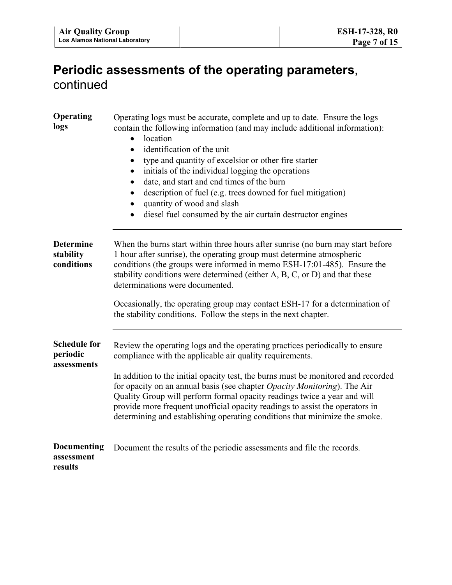# **Periodic assessments of the operating parameters**, continued

| Operating<br>logs                              | Operating logs must be accurate, complete and up to date. Ensure the logs<br>contain the following information (and may include additional information):<br>location<br>$\bullet$<br>identification of the unit<br>$\bullet$<br>type and quantity of excelsior or other fire starter<br>$\bullet$<br>initials of the individual logging the operations<br>$\bullet$<br>date, and start and end times of the burn<br>$\bullet$<br>description of fuel (e.g. trees downed for fuel mitigation)<br>$\bullet$<br>quantity of wood and slash<br>$\bullet$<br>diesel fuel consumed by the air curtain destructor engines<br>$\bullet$ |  |
|------------------------------------------------|---------------------------------------------------------------------------------------------------------------------------------------------------------------------------------------------------------------------------------------------------------------------------------------------------------------------------------------------------------------------------------------------------------------------------------------------------------------------------------------------------------------------------------------------------------------------------------------------------------------------------------|--|
| <b>Determine</b><br>stability<br>conditions    | When the burns start within three hours after sunrise (no burn may start before<br>1 hour after sunrise), the operating group must determine atmospheric<br>conditions (the groups were informed in memo ESH-17:01-485). Ensure the<br>stability conditions were determined (either A, B, C, or D) and that these<br>determinations were documented.<br>Occasionally, the operating group may contact ESH-17 for a determination of<br>the stability conditions. Follow the steps in the next chapter.                                                                                                                          |  |
| <b>Schedule for</b><br>periodic<br>assessments | Review the operating logs and the operating practices periodically to ensure<br>compliance with the applicable air quality requirements.<br>In addition to the initial opacity test, the burns must be monitored and recorded<br>for opacity on an annual basis (see chapter <i>Opacity Monitoring</i> ). The Air<br>Quality Group will perform formal opacity readings twice a year and will<br>provide more frequent unofficial opacity readings to assist the operators in<br>determining and establishing operating conditions that minimize the smoke.                                                                     |  |
| <b>Documenting</b><br>assessment<br>results    | Document the results of the periodic assessments and file the records.                                                                                                                                                                                                                                                                                                                                                                                                                                                                                                                                                          |  |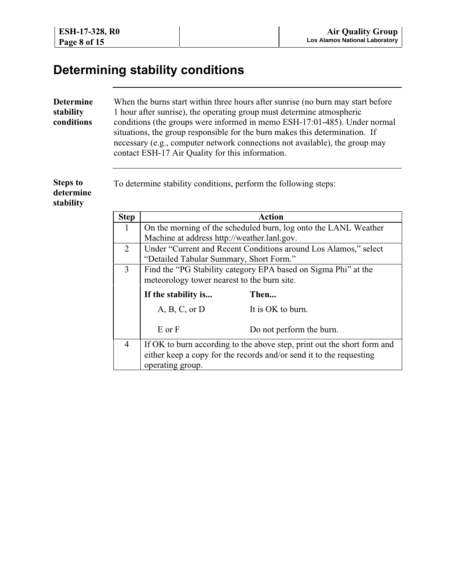# **Determining stability conditions**

| <b>Determine</b><br>stability<br>conditions |                | When the burns start within three hours after sunrise (no burn may start before<br>1 hour after sunrise), the operating group must determine atmospheric<br>conditions (the groups were informed in memo ESH-17:01-485). Under normal<br>situations, the group responsible for the burn makes this determination. If<br>necessary (e.g., computer network connections not available), the group may<br>contact ESH-17 Air Quality for this information. |                                                                                                                                                |  |
|---------------------------------------------|----------------|---------------------------------------------------------------------------------------------------------------------------------------------------------------------------------------------------------------------------------------------------------------------------------------------------------------------------------------------------------------------------------------------------------------------------------------------------------|------------------------------------------------------------------------------------------------------------------------------------------------|--|
| <b>Steps to</b><br>determine<br>stability   |                | To determine stability conditions, perform the following steps:                                                                                                                                                                                                                                                                                                                                                                                         |                                                                                                                                                |  |
|                                             | <b>Step</b>    | <b>Action</b>                                                                                                                                                                                                                                                                                                                                                                                                                                           |                                                                                                                                                |  |
|                                             | 1              | On the morning of the scheduled burn, log onto the LANL Weather<br>Machine at address http://weather.lanl.gov.                                                                                                                                                                                                                                                                                                                                          |                                                                                                                                                |  |
|                                             | $\overline{2}$ | Under "Current and Recent Conditions around Los Alamos," select<br>"Detailed Tabular Summary, Short Form."                                                                                                                                                                                                                                                                                                                                              |                                                                                                                                                |  |
|                                             | $\overline{3}$ | Find the "PG Stability category EPA based on Sigma Phi" at the<br>meteorology tower nearest to the burn site.                                                                                                                                                                                                                                                                                                                                           |                                                                                                                                                |  |
|                                             |                | If the stability is<br>Then                                                                                                                                                                                                                                                                                                                                                                                                                             |                                                                                                                                                |  |
|                                             |                | A, B, C, or D                                                                                                                                                                                                                                                                                                                                                                                                                                           | It is OK to burn.                                                                                                                              |  |
|                                             |                | E or F                                                                                                                                                                                                                                                                                                                                                                                                                                                  | Do not perform the burn.                                                                                                                       |  |
|                                             | $\overline{4}$ | operating group.                                                                                                                                                                                                                                                                                                                                                                                                                                        | If OK to burn according to the above step, print out the short form and<br>either keep a copy for the records and/or send it to the requesting |  |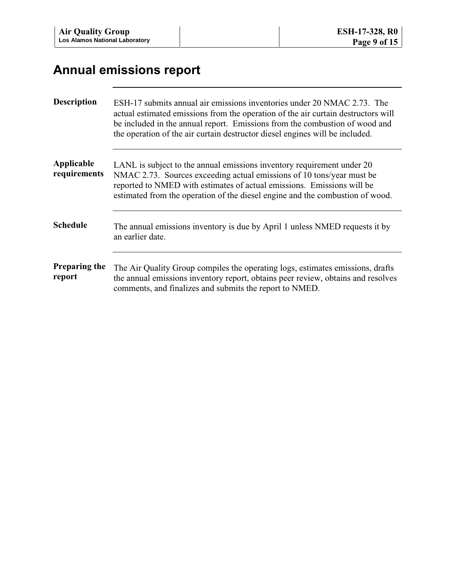# **Annual emissions report**

| <b>Description</b>             | ESH-17 submits annual air emissions inventories under 20 NMAC 2.73. The<br>actual estimated emissions from the operation of the air curtain destructors will<br>be included in the annual report. Emissions from the combustion of wood and<br>the operation of the air curtain destructor diesel engines will be included. |
|--------------------------------|-----------------------------------------------------------------------------------------------------------------------------------------------------------------------------------------------------------------------------------------------------------------------------------------------------------------------------|
| Applicable<br>requirements     | LANL is subject to the annual emissions inventory requirement under 20<br>NMAC 2.73. Sources exceeding actual emissions of 10 tons/year must be<br>reported to NMED with estimates of actual emissions. Emissions will be<br>estimated from the operation of the diesel engine and the combustion of wood.                  |
| <b>Schedule</b>                | The annual emissions inventory is due by April 1 unless NMED requests it by<br>an earlier date.                                                                                                                                                                                                                             |
| <b>Preparing the</b><br>report | The Air Quality Group compiles the operating logs, estimates emissions, drafts<br>the annual emissions inventory report, obtains peer review, obtains and resolves<br>comments, and finalizes and submits the report to NMED.                                                                                               |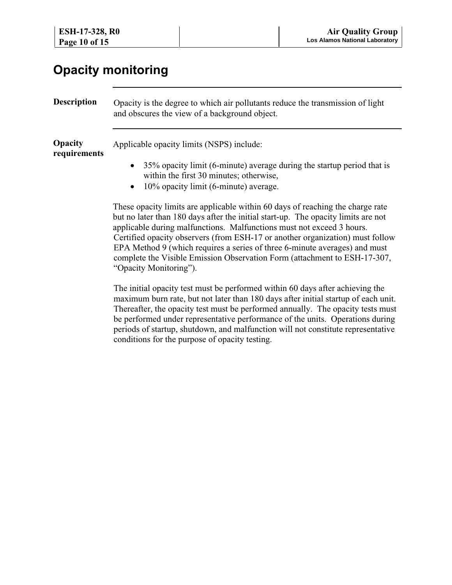| ESH-17-328, R0<br>Page 10 of 15 |                                                                                                                                                                                                                      |                                                                       | <b>Air Quality Group</b><br><b>Los Alamos National Laboratory</b>                                                                                                                                                                                                                                                                                                                                               |
|---------------------------------|----------------------------------------------------------------------------------------------------------------------------------------------------------------------------------------------------------------------|-----------------------------------------------------------------------|-----------------------------------------------------------------------------------------------------------------------------------------------------------------------------------------------------------------------------------------------------------------------------------------------------------------------------------------------------------------------------------------------------------------|
|                                 | <b>Opacity monitoring</b>                                                                                                                                                                                            |                                                                       |                                                                                                                                                                                                                                                                                                                                                                                                                 |
| <b>Description</b>              |                                                                                                                                                                                                                      | and obscures the view of a background object.                         | Opacity is the degree to which air pollutants reduce the transmission of light                                                                                                                                                                                                                                                                                                                                  |
| Opacity<br>requirements         | Applicable opacity limits (NSPS) include:<br>35% opacity limit (6-minute) average during the startup period that is<br>$\bullet$<br>within the first 30 minutes; otherwise,<br>10% opacity limit (6-minute) average. |                                                                       |                                                                                                                                                                                                                                                                                                                                                                                                                 |
|                                 | "Opacity Monitoring").                                                                                                                                                                                               | applicable during malfunctions. Malfunctions must not exceed 3 hours. | These opacity limits are applicable within 60 days of reaching the charge rate<br>but no later than 180 days after the initial start-up. The opacity limits are not<br>Certified opacity observers (from ESH-17 or another organization) must follow<br>EPA Method 9 (which requires a series of three 6-minute averages) and must<br>complete the Visible Emission Observation Form (attachment to ESH-17-307, |
|                                 |                                                                                                                                                                                                                      |                                                                       | The initial opacity test must be performed within 60 days after achieving the<br>maximum burn rate, but not later than 180 days after initial startup of each unit.<br>Thereafter, the opacity test must be performed annually. The opacity tests must                                                                                                                                                          |

be performed under representative performance of the units. Operations during periods of startup, shutdown, and malfunction will not constitute representative

conditions for the purpose of opacity testing.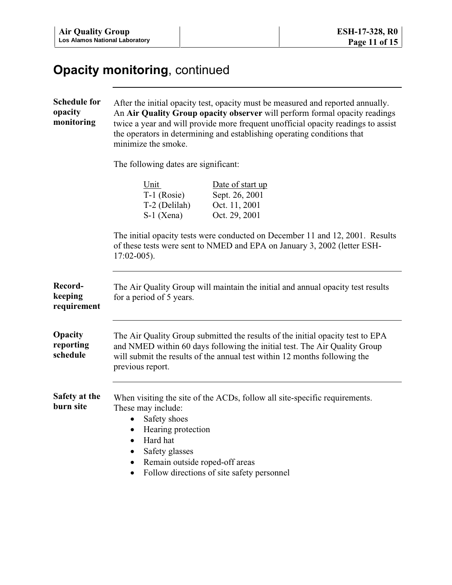|                                              | <b>Opacity monitoring, continued</b>                                                                                                                                                                                                                                                                                                                 |  |  |
|----------------------------------------------|------------------------------------------------------------------------------------------------------------------------------------------------------------------------------------------------------------------------------------------------------------------------------------------------------------------------------------------------------|--|--|
| <b>Schedule for</b><br>opacity<br>monitoring | After the initial opacity test, opacity must be measured and reported annually.<br>An Air Quality Group opacity observer will perform formal opacity readings<br>twice a year and will provide more frequent unofficial opacity readings to assist<br>the operators in determining and establishing operating conditions that<br>minimize the smoke. |  |  |
|                                              | The following dates are significant:<br>Unit<br>Date of start up<br>$T-1$ (Rosie)<br>Sept. 26, 2001<br>T-2 (Delilah)<br>Oct. 11, 2001<br>$S-1$ (Xena)<br>Oct. 29, 2001                                                                                                                                                                               |  |  |
|                                              | The initial opacity tests were conducted on December 11 and 12, 2001. Results<br>of these tests were sent to NMED and EPA on January 3, 2002 (letter ESH-<br>$17:02-005$ ).                                                                                                                                                                          |  |  |
| Record-<br>keeping<br>requirement            | The Air Quality Group will maintain the initial and annual opacity test results<br>for a period of 5 years.                                                                                                                                                                                                                                          |  |  |
| Opacity<br>reporting<br>schedule             | The Air Quality Group submitted the results of the initial opacity test to EPA<br>and NMED within 60 days following the initial test. The Air Quality Group<br>will submit the results of the annual test within 12 months following the<br>previous report.                                                                                         |  |  |
| Safety at the<br>burn site                   | When visiting the site of the ACDs, follow all site-specific requirements.<br>These may include:<br>Safety shoes<br>Hearing protection<br>$\bullet$<br>Hard hat<br>$\bullet$<br>Safety glasses<br>$\bullet$<br>Remain outside roped-off areas<br>$\bullet$<br>Follow directions of site safety personnel                                             |  |  |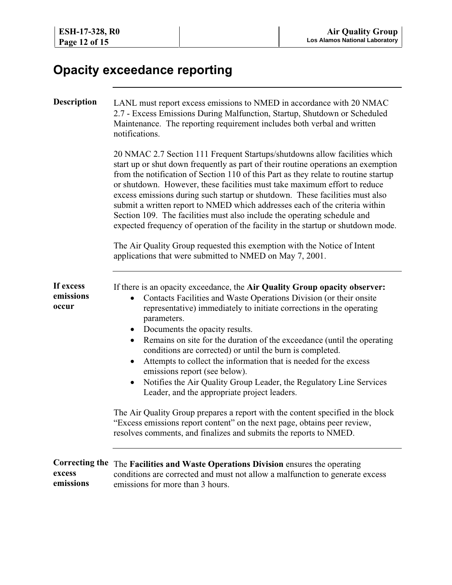|                                              | <b>Opacity exceedance reporting</b>                                                                                                                                                                                                                                                                                                                                                                                                                                                                                                                                                                                                                                |
|----------------------------------------------|--------------------------------------------------------------------------------------------------------------------------------------------------------------------------------------------------------------------------------------------------------------------------------------------------------------------------------------------------------------------------------------------------------------------------------------------------------------------------------------------------------------------------------------------------------------------------------------------------------------------------------------------------------------------|
| <b>Description</b>                           | LANL must report excess emissions to NMED in accordance with 20 NMAC<br>2.7 - Excess Emissions During Malfunction, Startup, Shutdown or Scheduled<br>Maintenance. The reporting requirement includes both verbal and written<br>notifications.                                                                                                                                                                                                                                                                                                                                                                                                                     |
|                                              | 20 NMAC 2.7 Section 111 Frequent Startups/shutdowns allow facilities which<br>start up or shut down frequently as part of their routine operations an exemption<br>from the notification of Section 110 of this Part as they relate to routine startup<br>or shutdown. However, these facilities must take maximum effort to reduce<br>excess emissions during such startup or shutdown. These facilities must also<br>submit a written report to NMED which addresses each of the criteria within<br>Section 109. The facilities must also include the operating schedule and<br>expected frequency of operation of the facility in the startup or shutdown mode. |
|                                              | The Air Quality Group requested this exemption with the Notice of Intent<br>applications that were submitted to NMED on May 7, 2001.                                                                                                                                                                                                                                                                                                                                                                                                                                                                                                                               |
| If excess<br>emissions<br>occur              | If there is an opacity exceedance, the Air Quality Group opacity observer:<br>Contacts Facilities and Waste Operations Division (or their onsite<br>$\bullet$<br>representative) immediately to initiate corrections in the operating<br>parameters.<br>Documents the opacity results.<br>$\bullet$<br>Remains on site for the duration of the exceedance (until the operating<br>$\bullet$                                                                                                                                                                                                                                                                        |
|                                              | conditions are corrected) or until the burn is completed.<br>Attempts to collect the information that is needed for the excess<br>emissions report (see below).                                                                                                                                                                                                                                                                                                                                                                                                                                                                                                    |
|                                              | Notifies the Air Quality Group Leader, the Regulatory Line Services<br>Leader, and the appropriate project leaders.                                                                                                                                                                                                                                                                                                                                                                                                                                                                                                                                                |
|                                              | The Air Quality Group prepares a report with the content specified in the block<br>"Excess emissions report content" on the next page, obtains peer review,<br>resolves comments, and finalizes and submits the reports to NMED.                                                                                                                                                                                                                                                                                                                                                                                                                                   |
| <b>Correcting the</b><br>excess<br>emissions | The Facilities and Waste Operations Division ensures the operating<br>conditions are corrected and must not allow a malfunction to generate excess<br>emissions for more than 3 hours.                                                                                                                                                                                                                                                                                                                                                                                                                                                                             |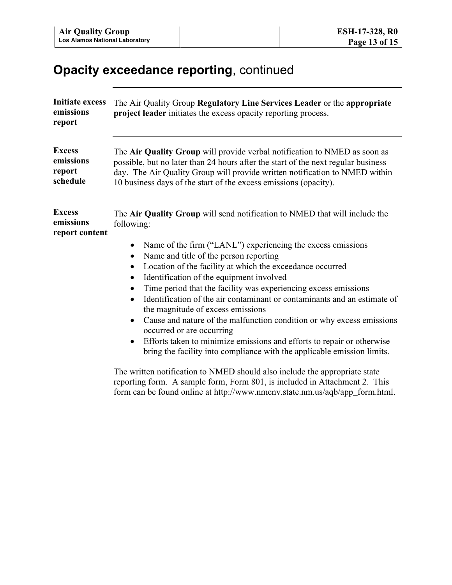# **Opacity exceedance reporting**, continued

| <b>Initiate excess</b><br>emissions<br>report    | The Air Quality Group Regulatory Line Services Leader or the appropriate<br>project leader initiates the excess opacity reporting process.                                                                                                                                                                        |  |  |
|--------------------------------------------------|-------------------------------------------------------------------------------------------------------------------------------------------------------------------------------------------------------------------------------------------------------------------------------------------------------------------|--|--|
| <b>Excess</b><br>emissions<br>report<br>schedule | The Air Quality Group will provide verbal notification to NMED as soon as<br>possible, but no later than 24 hours after the start of the next regular business<br>day. The Air Quality Group will provide written notification to NMED within<br>10 business days of the start of the excess emissions (opacity). |  |  |
| <b>Excess</b><br>emissions<br>report content     | The Air Quality Group will send notification to NMED that will include the<br>following:                                                                                                                                                                                                                          |  |  |
|                                                  | Name of the firm ("LANL") experiencing the excess emissions<br>$\bullet$                                                                                                                                                                                                                                          |  |  |
|                                                  | Name and title of the person reporting                                                                                                                                                                                                                                                                            |  |  |
|                                                  | Location of the facility at which the exceedance occurred<br>$\bullet$<br>Identification of the equipment involved<br>$\bullet$                                                                                                                                                                                   |  |  |
|                                                  | Time period that the facility was experiencing excess emissions                                                                                                                                                                                                                                                   |  |  |
|                                                  | Identification of the air contaminant or contaminants and an estimate of<br>the magnitude of excess emissions                                                                                                                                                                                                     |  |  |
|                                                  | Cause and nature of the malfunction condition or why excess emissions<br>occurred or are occurring                                                                                                                                                                                                                |  |  |
|                                                  | Efforts taken to minimize emissions and efforts to repair or otherwise<br>bring the facility into compliance with the applicable emission limits.                                                                                                                                                                 |  |  |
|                                                  | The written notification to NMED should also include the appropriate state<br>reporting form. A sample form, Form 801, is included in Attachment 2. This<br>form can be found online at http://www.nmenv.state.nm.us/aqb/app_form.html.                                                                           |  |  |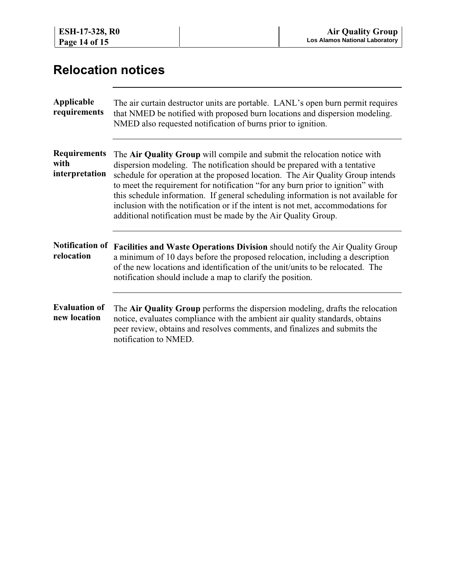| ESH-17-328, R0<br>Page 14 of 15               |                       |                                                                                                                                             | <b>Air Quality Group</b><br><b>Los Alamos National Laboratory</b>                                                                                                                                                                                                                                                                                                                                                    |
|-----------------------------------------------|-----------------------|---------------------------------------------------------------------------------------------------------------------------------------------|----------------------------------------------------------------------------------------------------------------------------------------------------------------------------------------------------------------------------------------------------------------------------------------------------------------------------------------------------------------------------------------------------------------------|
| <b>Relocation notices</b>                     |                       |                                                                                                                                             |                                                                                                                                                                                                                                                                                                                                                                                                                      |
| Applicable<br>requirements                    |                       | NMED also requested notification of burns prior to ignition.                                                                                | The air curtain destructor units are portable. LANL's open burn permit requires<br>that NMED be notified with proposed burn locations and dispersion modeling.                                                                                                                                                                                                                                                       |
| <b>Requirements</b><br>with<br>interpretation |                       | dispersion modeling. The notification should be prepared with a tentative<br>additional notification must be made by the Air Quality Group. | The Air Quality Group will compile and submit the relocation notice with<br>schedule for operation at the proposed location. The Air Quality Group intends<br>to meet the requirement for notification "for any burn prior to ignition" with<br>this schedule information. If general scheduling information is not available for<br>inclusion with the notification or if the intent is not met, accommodations for |
| <b>Notification of</b><br>relocation          |                       | notification should include a map to clarify the position.                                                                                  | <b>Facilities and Waste Operations Division</b> should notify the Air Quality Group<br>a minimum of 10 days before the proposed relocation, including a description<br>of the new locations and identification of the unit/units to be relocated. The                                                                                                                                                                |
| <b>Evaluation of</b><br>new location          | notification to NMED. | peer review, obtains and resolves comments, and finalizes and submits the                                                                   | The Air Quality Group performs the dispersion modeling, drafts the relocation<br>notice, evaluates compliance with the ambient air quality standards, obtains                                                                                                                                                                                                                                                        |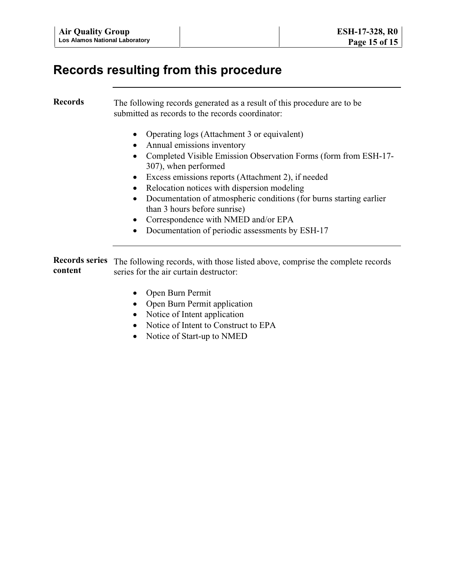### **Records resulting from this procedure**

### **Records** The following records generated as a result of this procedure are to be submitted as records to the records coordinator:

- Operating logs (Attachment 3 or equivalent)
- Annual emissions inventory
- Completed Visible Emission Observation Forms (form from ESH-17- 307), when performed
- Excess emissions reports (Attachment 2), if needed
- Relocation notices with dispersion modeling
- Documentation of atmospheric conditions (for burns starting earlier than 3 hours before sunrise)
- Correspondence with NMED and/or EPA
- Documentation of periodic assessments by ESH-17

**Records series** The following records, with those listed above, comprise the complete records **content** series for the air curtain destructor:

- Open Burn Permit
- Open Burn Permit application
- Notice of Intent application
- Notice of Intent to Construct to EPA
- Notice of Start-up to NMED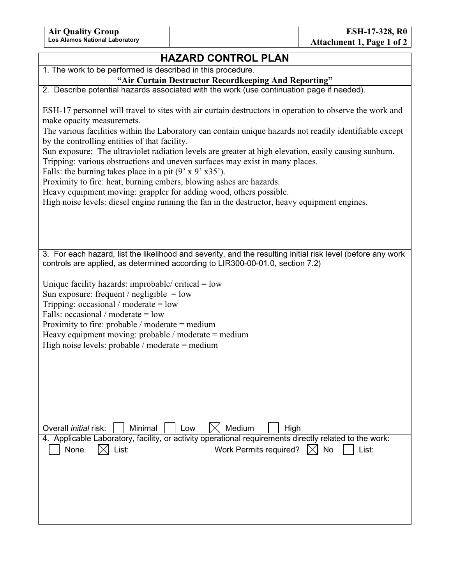| <b>HAZARD CONTROL PLAN</b>                                                                                                                                                                                                                                                                                                                                                                                                                                                                                                                                                                                                                                                                                                                                                                                      |
|-----------------------------------------------------------------------------------------------------------------------------------------------------------------------------------------------------------------------------------------------------------------------------------------------------------------------------------------------------------------------------------------------------------------------------------------------------------------------------------------------------------------------------------------------------------------------------------------------------------------------------------------------------------------------------------------------------------------------------------------------------------------------------------------------------------------|
| 1. The work to be performed is described in this procedure.                                                                                                                                                                                                                                                                                                                                                                                                                                                                                                                                                                                                                                                                                                                                                     |
| "Air Curtain Destructor Recordkeeping And Reporting"                                                                                                                                                                                                                                                                                                                                                                                                                                                                                                                                                                                                                                                                                                                                                            |
| 2. Describe potential hazards associated with the work (use continuation page if needed).                                                                                                                                                                                                                                                                                                                                                                                                                                                                                                                                                                                                                                                                                                                       |
| ESH-17 personnel will travel to sites with air curtain destructors in operation to observe the work and<br>make opacity measuremets.<br>The various facilities within the Laboratory can contain unique hazards not readily identifiable except<br>by the controlling entities of that facility.<br>Sun exposure: The ultraviolet radiation levels are greater at high elevation, easily causing sunburn.<br>Tripping: various obstructions and uneven surfaces may exist in many places.<br>Falls: the burning takes place in a pit $(9' \times 9' \times 35')$ .<br>Proximity to fire: heat, burning embers, blowing ashes are hazards.<br>Heavy equipment moving: grappler for adding wood, others possible.<br>High noise levels: diesel engine running the fan in the destructor, heavy equipment engines. |
| 3. For each hazard, list the likelihood and severity, and the resulting initial risk level (before any work<br>controls are applied, as determined according to LIR300-00-01.0, section 7.2)<br>Unique facility hazards: improbable/ critical $=$ low<br>Sun exposure: frequent / negligible = $low$<br>Tripping: occasional / moderate = $low$<br>Falls: occasional / moderate = $low$<br>Proximity to fire: probable / moderate = medium<br>Heavy equipment moving: probable / moderate = medium<br>High noise levels: probable / moderate = medium                                                                                                                                                                                                                                                           |
| Minimal<br>Medium<br>Overall <i>initial</i> risk:<br>High<br>Low<br>4. Applicable Laboratory, facility, or activity operational requirements directly related to the work:<br>None<br>List:<br>Work Permits required?<br><b>No</b><br>List:<br>$\overline{ \times }$                                                                                                                                                                                                                                                                                                                                                                                                                                                                                                                                            |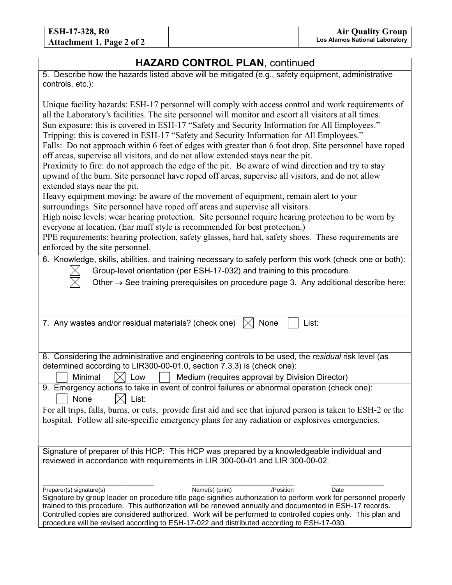| <b>HAZARD CONTROL PLAN, continued</b>                                                                                                                                                                                                                                                                                                                                                                                                                                                                                                                                                                                                                                                                                                                                                                                                                                                                                                                                                                                                                                                                                                                                                                                                                                                                                                                     |
|-----------------------------------------------------------------------------------------------------------------------------------------------------------------------------------------------------------------------------------------------------------------------------------------------------------------------------------------------------------------------------------------------------------------------------------------------------------------------------------------------------------------------------------------------------------------------------------------------------------------------------------------------------------------------------------------------------------------------------------------------------------------------------------------------------------------------------------------------------------------------------------------------------------------------------------------------------------------------------------------------------------------------------------------------------------------------------------------------------------------------------------------------------------------------------------------------------------------------------------------------------------------------------------------------------------------------------------------------------------|
| 5. Describe how the hazards listed above will be mitigated (e.g., safety equipment, administrative<br>controls, etc.):                                                                                                                                                                                                                                                                                                                                                                                                                                                                                                                                                                                                                                                                                                                                                                                                                                                                                                                                                                                                                                                                                                                                                                                                                                    |
| Unique facility hazards: ESH-17 personnel will comply with access control and work requirements of<br>all the Laboratory's facilities. The site personnel will monitor and escort all visitors at all times.<br>Sun exposure: this is covered in ESH-17 "Safety and Security Information for All Employees."<br>Tripping: this is covered in ESH-17 "Safety and Security Information for All Employees."<br>Falls: Do not approach within 6 feet of edges with greater than 6 foot drop. Site personnel have roped<br>off areas, supervise all visitors, and do not allow extended stays near the pit.<br>Proximity to fire: do not approach the edge of the pit. Be aware of wind direction and try to stay<br>upwind of the burn. Site personnel have roped off areas, supervise all visitors, and do not allow<br>extended stays near the pit.<br>Heavy equipment moving: be aware of the movement of equipment, remain alert to your<br>surroundings. Site personnel have roped off areas and supervise all visitors.<br>High noise levels: wear hearing protection. Site personnel require hearing protection to be worn by<br>everyone at location. (Ear muff style is recommended for best protection.)<br>PPE requirements: hearing protection, safety glasses, hard hat, safety shoes. These requirements are<br>enforced by the site personnel. |
| 6. Knowledge, skills, abilities, and training necessary to safely perform this work (check one or both):<br>Group-level orientation (per ESH-17-032) and training to this procedure.<br>Other $\rightarrow$ See training prerequisites on procedure page 3. Any additional describe here:                                                                                                                                                                                                                                                                                                                                                                                                                                                                                                                                                                                                                                                                                                                                                                                                                                                                                                                                                                                                                                                                 |
| 7. Any wastes and/or residual materials? (check one)<br>List:<br>None                                                                                                                                                                                                                                                                                                                                                                                                                                                                                                                                                                                                                                                                                                                                                                                                                                                                                                                                                                                                                                                                                                                                                                                                                                                                                     |
| 8. Considering the administrative and engineering controls to be used, the residual risk level (as<br>determined according to LIR300-00-01.0, section 7.3.3) is (check one):<br>Minimal<br>Low<br>Medium (requires approval by Division Director)                                                                                                                                                                                                                                                                                                                                                                                                                                                                                                                                                                                                                                                                                                                                                                                                                                                                                                                                                                                                                                                                                                         |
| 9. Emergency actions to take in event of control failures or abnormal operation (check one):<br>None<br>List:<br>For all trips, falls, burns, or cuts, provide first aid and see that injured person is taken to ESH-2 or the<br>hospital. Follow all site-specific emergency plans for any radiation or explosives emergencies.                                                                                                                                                                                                                                                                                                                                                                                                                                                                                                                                                                                                                                                                                                                                                                                                                                                                                                                                                                                                                          |
| Signature of preparer of this HCP: This HCP was prepared by a knowledgeable individual and<br>reviewed in accordance with requirements in LIR 300-00-01 and LIR 300-00-02.                                                                                                                                                                                                                                                                                                                                                                                                                                                                                                                                                                                                                                                                                                                                                                                                                                                                                                                                                                                                                                                                                                                                                                                |
| Preparer(s) signature(s)<br>Name(s) (print)<br>/Position<br>Date<br>Signature by group leader on procedure title page signifies authorization to perform work for personnel properly<br>trained to this procedure. This authorization will be renewed annually and documented in ESH-17 records.<br>Controlled copies are considered authorized. Work will be performed to controlled copies only. This plan and<br>procedure will be revised according to ESH-17-022 and distributed according to ESH-17-030.                                                                                                                                                                                                                                                                                                                                                                                                                                                                                                                                                                                                                                                                                                                                                                                                                                            |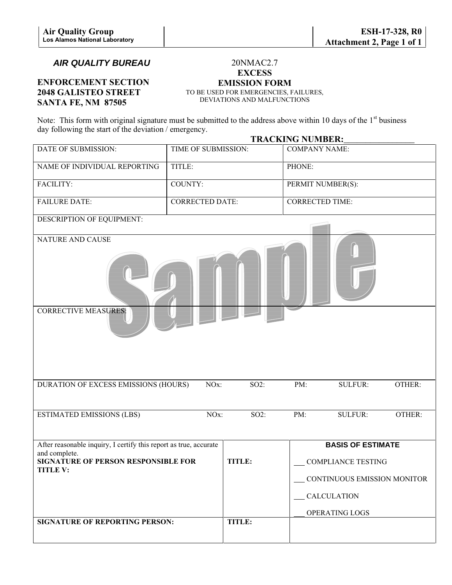### *AIR QUALITY BUREAU*

### **ENFORCEMENT SECTION 2048 GALISTEO STREET SANTA FE, NM 87505**

### 20NMAC2.7 **EXCESS EMISSION FORM**

TO BE USED FOR EMERGENCIES, FAILURES, DEVIATIONS AND MALFUNCTIONS

Note: This form with original signature must be submitted to the address above within 10 days of the 1<sup>st</sup> business day following the start of the deviation / emergency. **TRACKING NUMBER:\_\_\_\_\_\_\_\_\_\_\_\_\_\_\_\_**

|                                                                                                                                                     |                        |         | TRACKING NUMBER:       |                                                                                                                              |        |
|-----------------------------------------------------------------------------------------------------------------------------------------------------|------------------------|---------|------------------------|------------------------------------------------------------------------------------------------------------------------------|--------|
| DATE OF SUBMISSION:                                                                                                                                 | TIME OF SUBMISSION:    |         | <b>COMPANY NAME:</b>   |                                                                                                                              |        |
| NAME OF INDIVIDUAL REPORTING                                                                                                                        | TITLE:                 |         | PHONE:                 |                                                                                                                              |        |
| FACILITY:                                                                                                                                           | COUNTY:                |         | PERMIT NUMBER(S):      |                                                                                                                              |        |
| <b>FAILURE DATE:</b>                                                                                                                                | <b>CORRECTED DATE:</b> |         | <b>CORRECTED TIME:</b> |                                                                                                                              |        |
| DESCRIPTION OF EQUIPMENT:                                                                                                                           |                        |         |                        |                                                                                                                              |        |
| NATURE AND CAUSE<br><b>CORRECTIVE MEASURES:</b>                                                                                                     |                        |         |                        |                                                                                                                              |        |
| DURATION OF EXCESS EMISSIONS (HOURS)                                                                                                                | NO <sub>x</sub> :      | $SO2$ : | PM:                    | <b>SULFUR:</b>                                                                                                               | OTHER: |
| <b>ESTIMATED EMISSIONS (LBS)</b>                                                                                                                    | NO <sub>x</sub> :      | $SO2$ : | PM:                    | <b>SULFUR:</b>                                                                                                               | OTHER: |
| After reasonable inquiry, I certify this report as true, accurate<br>and complete.<br><b>SIGNATURE OF PERSON RESPONSIBLE FOR</b><br><b>TITLE V:</b> |                        | TITLE:  |                        | <b>BASIS OF ESTIMATE</b><br><b>COMPLIANCE TESTING</b><br>CONTINUOUS EMISSION MONITOR<br><b>CALCULATION</b><br>OPERATING LOGS |        |
| <b>SIGNATURE OF REPORTING PERSON:</b>                                                                                                               |                        | TITLE:  |                        |                                                                                                                              |        |